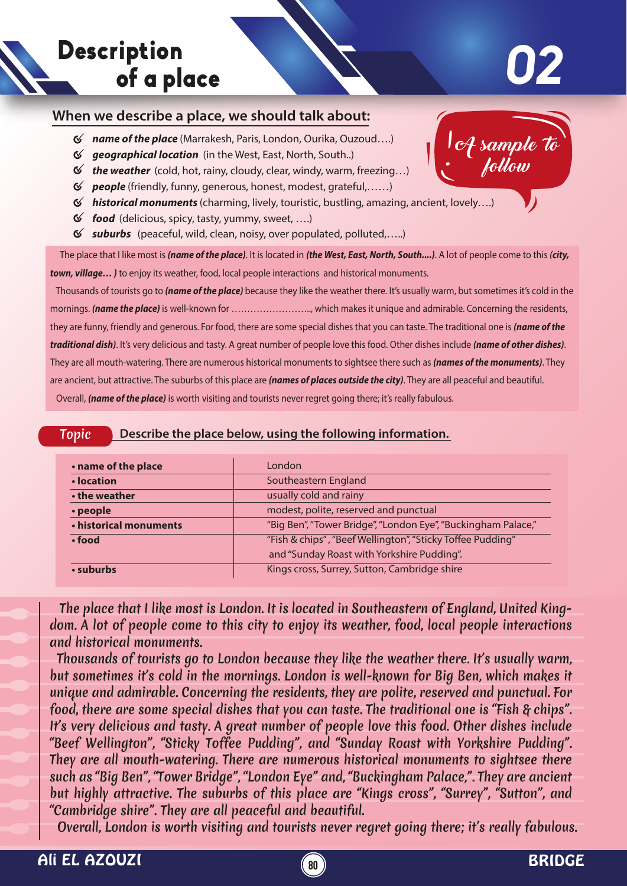

## **02**

A sample to

follow

## **When we describe a place, we should talk about:**

- *name of the place* (Marrakesh, Paris, London, Ourika, Ouzoud….)
- *geographical location* (in the West, East, North, South..)
- *the weather* (cold, hot, rainy, cloudy, clear, windy, warm, freezing…)
- *people* (friendly, funny, generous, honest, modest, grateful,……)
- *historical monuments* (charming, lively, touristic, bustling, amazing, ancient, lovely….)
- *food* (delicious, spicy, tasty, yummy, sweet, ….)
- *suburbs* (peaceful, wild, clean, noisy, over populated, polluted,…..)

 The place that I like most is *(name of the place)*. It is located in *(the West, East, North, South....)*. A lot of people come to this *(city, town, village… )* to enjoy its weather, food, local people interactions and historical monuments.

 Thousands of tourists go to *(name of the place)* because they like the weather there. It's usually warm, but sometimes it's cold in the mornings. *(name the place)* is well-known for …………………….., which makes it unique and admirable. Concerning the residents, they are funny, friendly and generous. For food, there are some special dishes that you can taste. The traditional one is *(name of the traditional dish)*. It's very delicious and tasty. A great number of people love this food. Other dishes include *(name of other dishes)*. They are all mouth-watering. There are numerous historical monuments to sightsee there such as *(names of the monuments)*. They are ancient, but attractive. The suburbs of this place are *(names of places outside the city)*. They are all peaceful and beautiful. Overall, *(name of the place)* is worth visiting and tourists never regret going there; it's really fabulous.

|--|

| . name of the place    | London                                                        |
|------------------------|---------------------------------------------------------------|
| • location             | Southeastern England                                          |
| • the weather          | usually cold and rainy                                        |
| • people               | modest, polite, reserved and punctual                         |
| • historical monuments | "Big Ben", "Tower Bridge", "London Eye", "Buckingham Palace," |
| $\cdot$ food           | "Fish & chips", "Beef Wellington", "Sticky Toffee Pudding"    |
|                        | and "Sunday Roast with Yorkshire Pudding".                    |
| • suburbs              | Kings cross, Surrey, Sutton, Cambridge shire                  |

 The place that I like most is London. It is located in Southeastern of England, United Kingdom. A lot of people come to this city to enjoy its weather, food, local people interactions and historical monuments.

 Thousands of tourists go to London because they like the weather there. It's usually warm, but sometimes it's cold in the mornings. London is well-known for Big Ben, which makes it unique and admirable. Concerning the residents, they are polite, reserved and punctual. For food, there are some special dishes that you can taste. The traditional one is "Fish & chips". It's very delicious and tasty. A great number of people love this food. Other dishes include "Beef Wellington", "Sticky Toffee Pudding", and "Sunday Roast with Yorkshire Pudding". They are all mouth-watering. There are numerous historical monuments to sightsee there such as "Big Ben", "Tower Bridge", "London Eye" and, "Buckingham Palace,". They are ancient but highly attractive. The suburbs of this place are "Kings cross", "Surrey", "Sutton", and "Cambridge shire". They are all peaceful and beautiful.

Overall, London is worth visiting and tourists never regret going there; it's really fabulous.